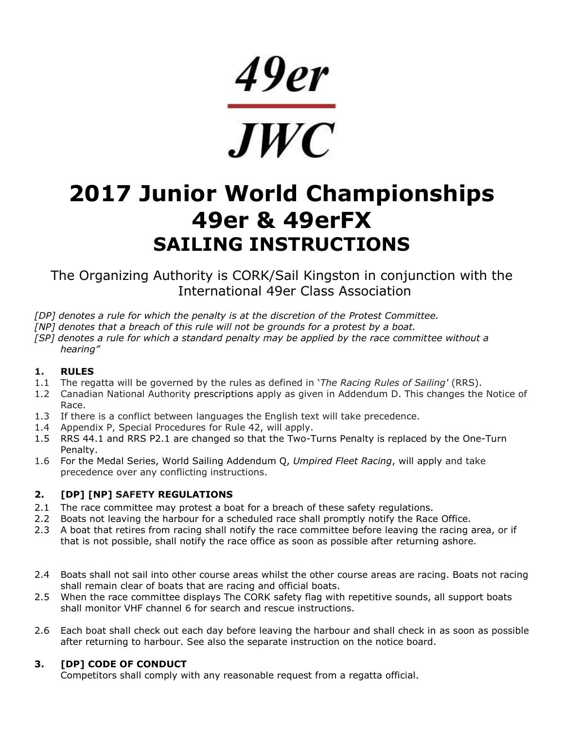49er  $\frac{1}{\sqrt{W}}$ 

# **2017 Junior World Championships 49er & 49erFX SAILING INSTRUCTIONS**

The Organizing Authority is CORK/Sail Kingston in conjunction with the International 49er Class Association

- *[DP] denotes a rule for which the penalty is at the discretion of the Protest Committee.*
- *[NP] denotes that a breach of this rule will not be grounds for a protest by a boat.*
- *[SP] denotes a rule for which a standard penalty may be applied by the race committee without a hearing"*

# **1. RULES**

- 1.1 The regatta will be governed by the rules as defined in '*The Racing Rules of Sailing'* (RRS).
- 1.2 Canadian National Authority prescriptions apply as given in Addendum D. This changes the Notice of Race.
- 1.3 If there is a conflict between languages the English text will take precedence.
- 1.4 Appendix P, Special Procedures for Rule 42, will apply.
- 1.5 RRS 44.1 and RRS P2.1 are changed so that the Two-Turns Penalty is replaced by the One-Turn Penalty.
- 1.6 For the Medal Series, World Sailing Addendum Q, *Umpired Fleet Racing*, will apply and take precedence over any conflicting instructions.

# **2. [DP] [NP] SAFETY REGULATIONS**

- 2.1 The race committee may protest a boat for a breach of these safety regulations.
- 2.2 Boats not leaving the harbour for a scheduled race shall promptly notify the Race Office.
- 2.3 A boat that retires from racing shall notify the race committee before leaving the racing area, or if that is not possible, shall notify the race office as soon as possible after returning ashore.
- 2.4 Boats shall not sail into other course areas whilst the other course areas are racing. Boats not racing shall remain clear of boats that are racing and official boats.
- 2.5 When the race committee displays The CORK safety flag with repetitive sounds, all support boats shall monitor VHF channel 6 for search and rescue instructions.
- 2.6 Each boat shall check out each day before leaving the harbour and shall check in as soon as possible after returning to harbour. See also the separate instruction on the notice board.

# **3. [DP] CODE OF CONDUCT**

Competitors shall comply with any reasonable request from a regatta official.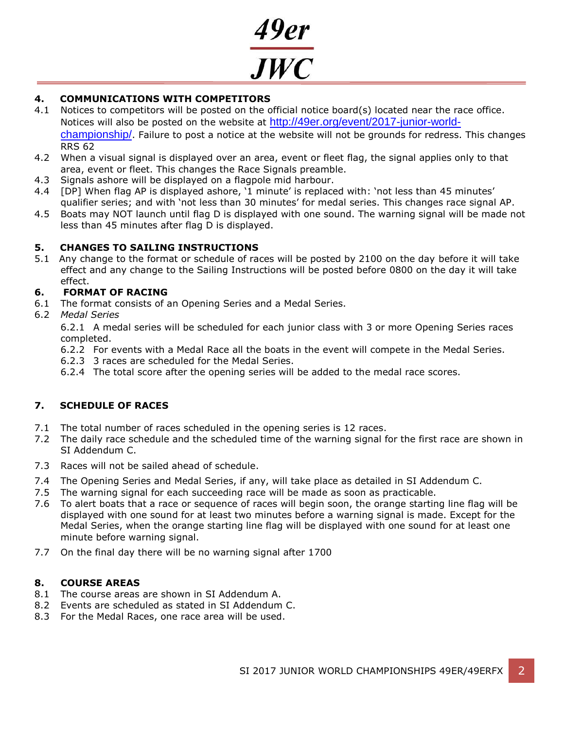

# **4. COMMUNICATIONS WITH COMPETITORS**

- 4.1 Notices to competitors will be posted on the official notice board(s) located near the race office. Notices will also be posted on the website at [http://49er.org/event/2017-junior-world](http://49er.org/event/2017-junior-world-championship/)[championship/](http://49er.org/event/2017-junior-world-championship/). Failure to post a notice at the website will not be grounds for redress. This changes RRS 62
- 4.2 When a visual signal is displayed over an area, event or fleet flag, the signal applies only to that area, event or fleet. This changes the Race Signals preamble.
- 4.3 Signals ashore will be displayed on a flagpole mid harbour.
- 4.4 [DP] When flag AP is displayed ashore, '1 minute' is replaced with: 'not less than 45 minutes' qualifier series; and with 'not less than 30 minutes' for medal series. This changes race signal AP.
- 4.5 Boats may NOT launch until flag D is displayed with one sound. The warning signal will be made not less than 45 minutes after flag D is displayed.

# **5. CHANGES TO SAILING INSTRUCTIONS**

5.1 Any change to the format or schedule of races will be posted by 2100 on the day before it will take effect and any change to the Sailing Instructions will be posted before 0800 on the day it will take effect.

# **6. FORMAT OF RACING**

6.1 The format consists of an Opening Series and a Medal Series.

6.2 *Medal Series*

6.2.1 A medal series will be scheduled for each junior class with 3 or more Opening Series races completed.

- 6.2.2 For events with a Medal Race all the boats in the event will compete in the Medal Series.
- 6.2.3 3 races are scheduled for the Medal Series.
- 6.2.4 The total score after the opening series will be added to the medal race scores.

# **7. SCHEDULE OF RACES**

- 7.1 The total number of races scheduled in the opening series is 12 races.
- 7.2 The daily race schedule and the scheduled time of the warning signal for the first race are shown in SI Addendum C.
- 7.3 Races will not be sailed ahead of schedule.
- 7.4 The Opening Series and Medal Series, if any, will take place as detailed in SI Addendum C.
- 7.5 The warning signal for each succeeding race will be made as soon as practicable.
- 7.6 To alert boats that a race or sequence of races will begin soon, the orange starting line flag will be displayed with one sound for at least two minutes before a warning signal is made. Except for the Medal Series, when the orange starting line flag will be displayed with one sound for at least one minute before warning signal.
- 7.7 On the final day there will be no warning signal after 1700

# **8. COURSE AREAS**

- 8.1 The course areas are shown in SI Addendum A.
- 8.2 Events are scheduled as stated in SI Addendum C.
- 8.3 For the Medal Races, one race area will be used.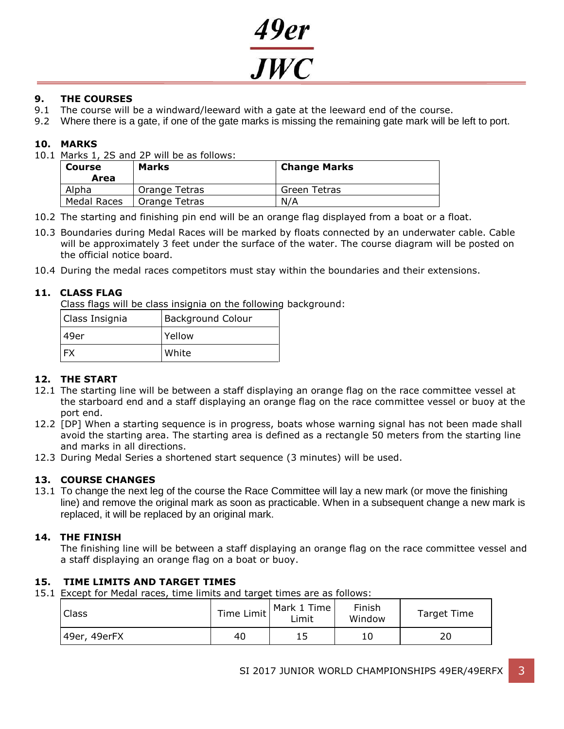

# **9. THE COURSES**

- 9.1 The course will be a windward/leeward with a gate at the leeward end of the course.
- 9.2 Where there is a gate, if one of the gate marks is missing the remaining gate mark will be left to port.

# **10. MARKS**

10.1 Marks 1, 2S and 2P will be as follows:

| <b>Course</b><br>Area | <b>Marks</b>  | <b>Change Marks</b> |  |
|-----------------------|---------------|---------------------|--|
| Alpha                 | Orange Tetras | Green Tetras        |  |
| Medal Races           | Orange Tetras | N/A                 |  |

- 10.2 The starting and finishing pin end will be an orange flag displayed from a boat or a float.
- 10.3 Boundaries during Medal Races will be marked by floats connected by an underwater cable. Cable will be approximately 3 feet under the surface of the water. The course diagram will be posted on the official notice board.
- 10.4 During the medal races competitors must stay within the boundaries and their extensions.

# **11. CLASS FLAG**

Class flags will be class insignia on the following background:

| Class Insignia | <b>Background Colour</b> |  |
|----------------|--------------------------|--|
| l 49er         | l Yellow                 |  |
|                | White                    |  |

# **12. THE START**

- 12.1 The starting line will be between a staff displaying an orange flag on the race committee vessel at the starboard end and a staff displaying an orange flag on the race committee vessel or buoy at the port end.
- 12.2 [DP] When a starting sequence is in progress, boats whose warning signal has not been made shall avoid the starting area. The starting area is defined as a rectangle 50 meters from the starting line and marks in all directions.
- 12.3 During Medal Series a shortened start sequence (3 minutes) will be used.

# **13. COURSE CHANGES**

13.1 To change the next leg of the course the Race Committee will lay a new mark (or move the finishing line) and remove the original mark as soon as practicable. When in a subsequent change a new mark is replaced, it will be replaced by an original mark.

# **14. THE FINISH**

The finishing line will be between a staff displaying an orange flag on the race committee vessel and a staff displaying an orange flag on a boat or buoy.

# **15. TIME LIMITS AND TARGET TIMES**

15.1 Except for Medal races, time limits and target times are as follows:

| Time Limit   |    | Mark 1 Time | Finish | Target Time |
|--------------|----|-------------|--------|-------------|
| Class        |    | ∟imit       | Window |             |
| 49er, 49erFX | 40 |             |        | 20          |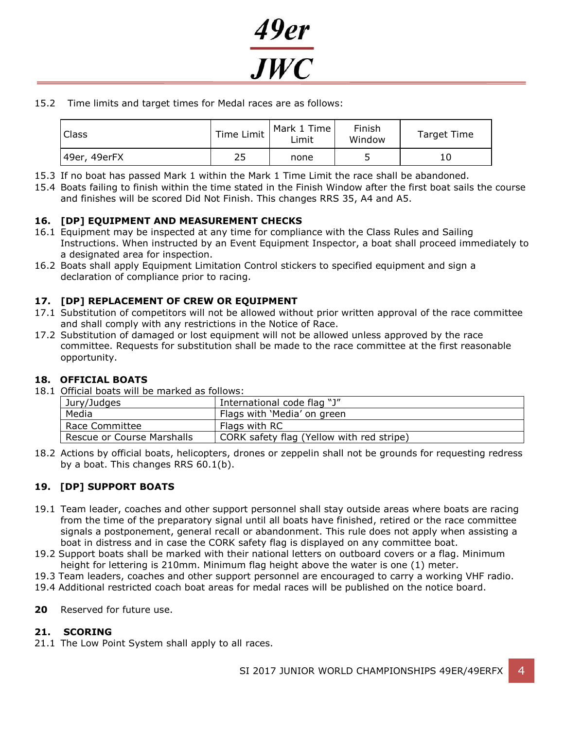

15.2 Time limits and target times for Medal races are as follows:

| Class        | Time Limit | Mark 1 Time<br>Limit | Finish<br>Window | Target Time |
|--------------|------------|----------------------|------------------|-------------|
| 49er, 49erFX | 25         | none                 |                  | 10          |

- 15.3 If no boat has passed Mark 1 within the Mark 1 Time Limit the race shall be abandoned.
- 15.4 Boats failing to finish within the time stated in the Finish Window after the first boat sails the course and finishes will be scored Did Not Finish. This changes RRS 35, A4 and A5.

# **16. [DP] EQUIPMENT AND MEASUREMENT CHECKS**

- 16.1 Equipment may be inspected at any time for compliance with the Class Rules and Sailing Instructions. When instructed by an Event Equipment Inspector, a boat shall proceed immediately to a designated area for inspection.
- 16.2 Boats shall apply Equipment Limitation Control stickers to specified equipment and sign a declaration of compliance prior to racing.

# **17. [DP] REPLACEMENT OF CREW OR EQUIPMENT**

- 17.1 Substitution of competitors will not be allowed without prior written approval of the race committee and shall comply with any restrictions in the Notice of Race.
- 17.2 Substitution of damaged or lost equipment will not be allowed unless approved by the race committee. Requests for substitution shall be made to the race committee at the first reasonable opportunity.

### **18. OFFICIAL BOATS**

18.1 Official boats will be marked as follows:

|                            | Jury/Judges | International code flag "J"               |  |  |  |
|----------------------------|-------------|-------------------------------------------|--|--|--|
|                            | Media       | Flags with 'Media' on green               |  |  |  |
| Race Committee             |             | Flags with RC                             |  |  |  |
| Rescue or Course Marshalls |             | CORK safety flag (Yellow with red stripe) |  |  |  |

18.2 Actions by official boats, helicopters, drones or zeppelin shall not be grounds for requesting redress by a boat. This changes RRS 60.1(b).

# **19. [DP] SUPPORT BOATS**

- 19.1 Team leader, coaches and other support personnel shall stay outside areas where boats are racing from the time of the preparatory signal until all boats have finished, retired or the race committee signals a postponement, general recall or abandonment. This rule does not apply when assisting a boat in distress and in case the CORK safety flag is displayed on any committee boat.
- 19.2 Support boats shall be marked with their national letters on outboard covers or a flag. Minimum height for lettering is 210mm. Minimum flag height above the water is one (1) meter.
- 19.3 Team leaders, coaches and other support personnel are encouraged to carry a working VHF radio.
- 19.4 Additional restricted coach boat areas for medal races will be published on the notice board.
- **20** Reserved for future use.

# **21. SCORING**

21.1 The Low Point System shall apply to all races.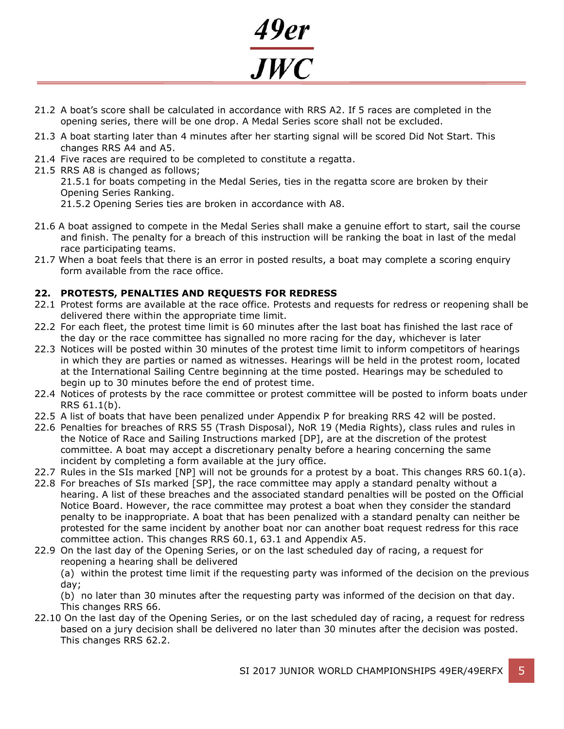

- 21.2 A boat's score shall be calculated in accordance with RRS A2. If 5 races are completed in the opening series, there will be one drop. A Medal Series score shall not be excluded.
- 21.3 A boat starting later than 4 minutes after her starting signal will be scored Did Not Start. This changes RRS A4 and A5.
- 21.4 Five races are required to be completed to constitute a regatta.
- 21.5 RRS A8 is changed as follows;

21.5.1 for boats competing in the Medal Series, ties in the regatta score are broken by their Opening Series Ranking.

- 21.5.2 Opening Series ties are broken in accordance with A8.
- 21.6 A boat assigned to compete in the Medal Series shall make a genuine effort to start, sail the course and finish. The penalty for a breach of this instruction will be ranking the boat in last of the medal race participating teams.
- 21.7 When a boat feels that there is an error in posted results, a boat may complete a scoring enquiry form available from the race office.

# **22. PROTESTS, PENALTIES AND REQUESTS FOR REDRESS**

- 22.1 Protest forms are available at the race office. Protests and requests for redress or reopening shall be delivered there within the appropriate time limit.
- 22.2 For each fleet, the protest time limit is 60 minutes after the last boat has finished the last race of the day or the race committee has signalled no more racing for the day, whichever is later
- 22.3 Notices will be posted within 30 minutes of the protest time limit to inform competitors of hearings in which they are parties or named as witnesses. Hearings will be held in the protest room, located at the International Sailing Centre beginning at the time posted. Hearings may be scheduled to begin up to 30 minutes before the end of protest time.
- 22.4 Notices of protests by the race committee or protest committee will be posted to inform boats under RRS 61.1(b).
- 22.5 A list of boats that have been penalized under Appendix P for breaking RRS 42 will be posted.
- 22.6 Penalties for breaches of RRS 55 (Trash Disposal), NoR 19 (Media Rights), class rules and rules in the Notice of Race and Sailing Instructions marked [DP], are at the discretion of the protest committee. A boat may accept a discretionary penalty before a hearing concerning the same incident by completing a form available at the jury office.
- 22.7 Rules in the SIs marked [NP] will not be grounds for a protest by a boat. This changes RRS 60.1(a).
- 22.8 For breaches of SIs marked [SP], the race committee may apply a standard penalty without a hearing. A list of these breaches and the associated standard penalties will be posted on the Official Notice Board. However, the race committee may protest a boat when they consider the standard penalty to be inappropriate. A boat that has been penalized with a standard penalty can neither be protested for the same incident by another boat nor can another boat request redress for this race committee action. This changes RRS 60.1, 63.1 and Appendix A5.
- 22.9 On the last day of the Opening Series, or on the last scheduled day of racing, a request for reopening a hearing shall be delivered

(a) within the protest time limit if the requesting party was informed of the decision on the previous day;

(b) no later than 30 minutes after the requesting party was informed of the decision on that day. This changes RRS 66.

22.10 On the last day of the Opening Series, or on the last scheduled day of racing, a request for redress based on a jury decision shall be delivered no later than 30 minutes after the decision was posted. This changes RRS 62.2.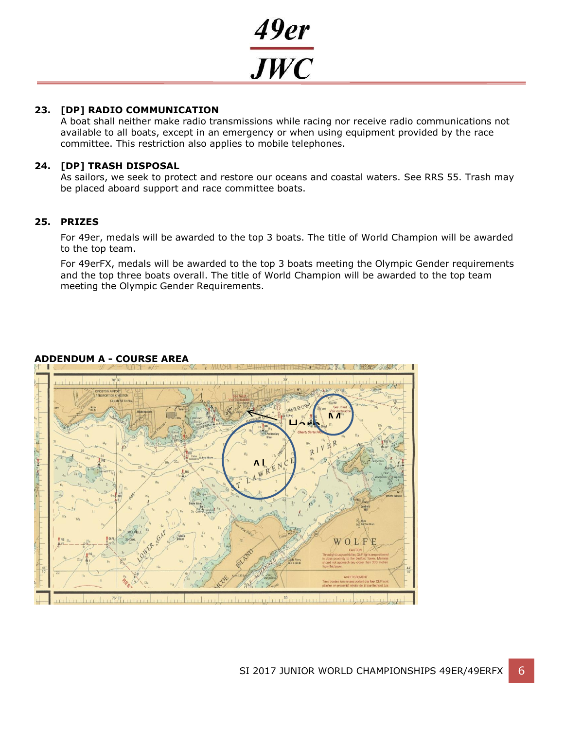

# **23. [DP] RADIO COMMUNICATION**

A boat shall neither make radio transmissions while racing nor receive radio communications not available to all boats, except in an emergency or when using equipment provided by the race committee. This restriction also applies to mobile telephones.

# **24. [DP] TRASH DISPOSAL**

As sailors, we seek to protect and restore our oceans and coastal waters. See RRS 55. Trash may be placed aboard support and race committee boats.

# **25. PRIZES**

For 49er, medals will be awarded to the top 3 boats. The title of World Champion will be awarded to the top team.

For 49erFX, medals will be awarded to the top 3 boats meeting the Olympic Gender requirements and the top three boats overall. The title of World Champion will be awarded to the top team meeting the Olympic Gender Requirements.



# **ADDENDUM A - COURSE AREA**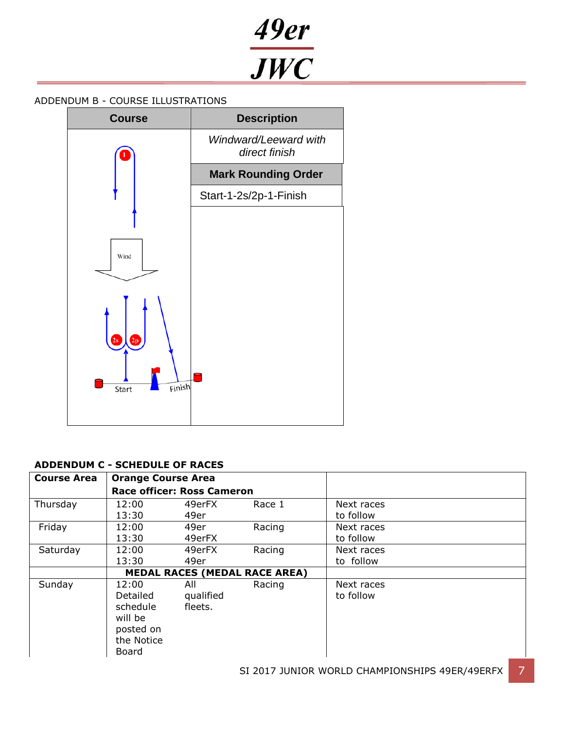49er<br>JWC

# ADDENDUM B - COURSE ILLUSTRATIONS



# **ADDENDUM C - SCHEDULE OF RACES**

| <b>Course Area</b> | <b>Orange Course Area</b>                                                    | <b>Race officer: Ross Cameron</b> |        |                         |
|--------------------|------------------------------------------------------------------------------|-----------------------------------|--------|-------------------------|
| Thursday           | 12:00<br>13:30                                                               | 49erFX<br>49er                    | Race 1 | Next races<br>to follow |
| Friday             | 12:00<br>13:30                                                               | 49er<br>49erFX                    | Racing | Next races<br>to follow |
| Saturday           | 12:00<br>13:30                                                               | 49erFX<br>49er                    | Racing | Next races<br>to follow |
|                    | <b>MEDAL RACES (MEDAL RACE AREA)</b>                                         |                                   |        |                         |
| Sunday             | 12:00<br>Detailed<br>schedule<br>will be<br>posted on<br>the Notice<br>Board | All<br>qualified<br>fleets.       | Racing | Next races<br>to follow |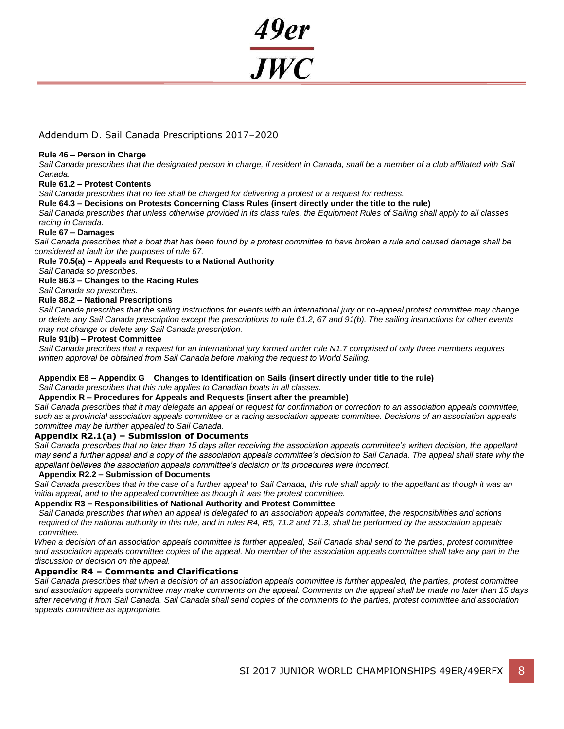

# Addendum D. Sail Canada Prescriptions 2017–2020

#### **Rule 46 – Person in Charge**

*Sail Canada prescribes that the designated person in charge, if resident in Canada, shall be a member of a club affiliated with Sail Canada.*

#### **Rule 61.2 – Protest Contents**

*Sail Canada prescribes that no fee shall be charged for delivering a protest or a request for redress.*

**Rule 64.3 – Decisions on Protests Concerning Class Rules (insert directly under the title to the rule)**

*Sail Canada prescribes that unless otherwise provided in its class rules, the Equipment Rules of Sailing shall apply to all classes racing in Canada.*

#### **Rule 67 – Damages**

*Sail Canada prescribes that a boat that has been found by a protest committee to have broken a rule and caused damage shall be considered at fault for the purposes of rule 67.*

**Rule 70.5(a) – Appeals and Requests to a National Authority**

*Sail Canada so prescribes.*

**Rule 86.3 – Changes to the Racing Rules**

*Sail Canada so prescribes.*

#### **Rule 88.2 – National Prescriptions**

*Sail Canada prescribes that the sailing instructions for events with an international jury or no-appeal protest committee may change or delete any Sail Canada prescription except the prescriptions to rule 61.2, 67 and 91(b). The sailing instructions for other events may not change or delete any Sail Canada prescription.*

#### **Rule 91(b) – Protest Committee**

*Sail Canada precribes that a request for an international jury formed under rule N1.7 comprised of only three members requires written approval be obtained from Sail Canada before making the request to World Sailing.*

#### **Appendix E8 – Appendix G Changes to Identification on Sails (insert directly under title to the rule)**

*Sail Canada prescribes that this rule applies to Canadian boats in all classes.*

#### **Appendix R – Procedures for Appeals and Requests (insert after the preamble)**

*Sail Canada prescribes that it may delegate an appeal or request for confirmation or correction to an association appeals committee, such as a provincial association appeals committee or a racing association appeals committee. Decisions of an association appeals committee may be further appealed t*o *Sail Canada.*

#### **Appendix R2.1(a) – Submission of Documents**

*Sail Canada prescribes that no later than 15 days after receiving the association appeals committee's written decision, the appellant may send a further appeal and a copy of the association appeals committee's decision to Sail Canada. The appeal shall state why the appellant believes the association appeals committee's decision or its procedures were incorrect.* 

#### **Appendix R2.2 – Submission of Documents**

Sail Canada prescribes that in the case of a further appeal to Sail Canada, this rule shall apply to the appellant as though it was an *initial appeal, and to the appealed committee as though it was the protest committee.*

#### **Appendix R3 – Responsibilities of National Authority and Protest Committee**

*Sail Canada prescribes that when an appeal is delegated to an association appeals committee, the responsibilities and actions required of the national authority in this rule, and in rules R4, R5, 71.2 and 71.3, shall be performed by the association appeals committee.*

*When a decision of an association appeals committee is further appealed, Sail Canada shall send to the parties, protest committee*  and association appeals committee copies of the appeal. No member of the association appeals committee shall take any part in the *discussion or decision on the appeal.*

### **Appendix R4 – Comments and Clarifications**

*Sail Canada prescribes that when a decision of an association appeals committee is further appealed, the parties, protest committee and association appeals committee may make comments on the appeal. Comments on the appeal shall be made no later than 15 days after receiving it from Sail Canada. Sail Canada shall send copies of the comments to the parties, protest committee and association appeals committee as appropriate.*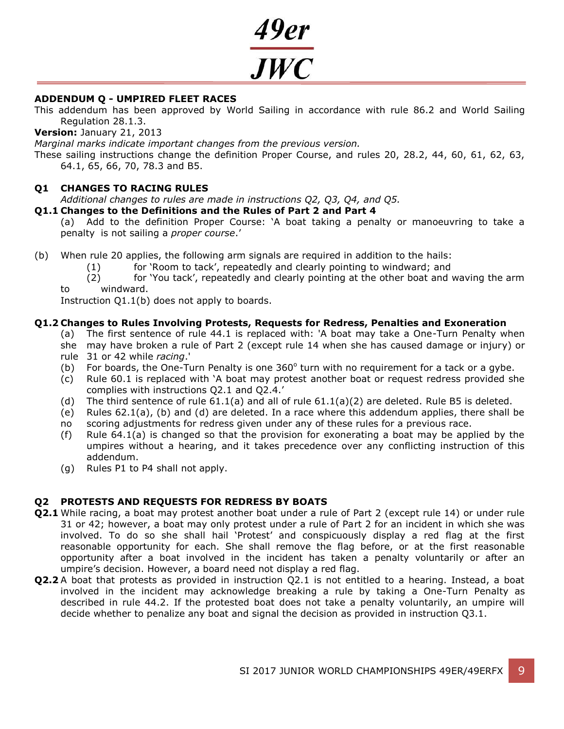

# **ADDENDUM Q - UMPIRED FLEET RACES**

This addendum has been approved by World Sailing in accordance with rule 86.2 and World Sailing Regulation 28.1.3.

**Version:** January 21, 2013

*Marginal marks indicate important changes from the previous version.*

These sailing instructions change the definition Proper Course, and rules 20, 28.2, 44, 60, 61, 62, 63, 64.1, 65, 66, 70, 78.3 and B5.

# **Q1 CHANGES TO RACING RULES**

*Additional changes to rules are made in instructions Q2, Q3, Q4, and Q5.*

# **Q1.1 Changes to the Definitions and the Rules of Part 2 and Part 4**

(a) Add to the definition Proper Course: 'A boat taking a penalty or manoeuvring to take a penalty is not sailing a *proper course*.'

- (b) When rule 20 applies, the following arm signals are required in addition to the hails:
	- (1) for 'Room to tack', repeatedly and clearly pointing to windward; and
	- (2) for 'You tack', repeatedly and clearly pointing at the other boat and waving the arm to windward.

Instruction Q1.1(b) does not apply to boards.

# **Q1.2 Changes to Rules Involving Protests, Requests for Redress, Penalties and Exoneration**

- (a) The first sentence of rule 44.1 is replaced with: 'A boat may take a One-Turn Penalty when she may have broken a rule of Part 2 (except rule 14 when she has caused damage or injury) or
- rule 31 or 42 while *racing*.'
	- (b) For boards, the One-Turn Penalty is one  $360^\circ$  turn with no requirement for a tack or a gybe.
	- (c) Rule 60.1 is replaced with 'A boat may protest another boat or request redress provided she complies with instructions Q2.1 and Q2.4.'
	- (d) The third sentence of rule  $61.1(a)$  and all of rule  $61.1(a)(2)$  are deleted. Rule B5 is deleted.
	- (e) Rules 62.1(a), (b) and (d) are deleted. In a race where this addendum applies, there shall be
	- no scoring adjustments for redress given under any of these rules for a previous race.
	- (f) Rule 64.1(a) is changed so that the provision for exonerating a boat may be applied by the umpires without a hearing, and it takes precedence over any conflicting instruction of this addendum.
	- (g) Rules P1 to P4 shall not apply.

# **Q2 PROTESTS AND REQUESTS FOR REDRESS BY BOATS**

- **Q2.1** While racing, a boat may protest another boat under a rule of Part 2 (except rule 14) or under rule 31 or 42; however, a boat may only protest under a rule of Part 2 for an incident in which she was involved. To do so she shall hail 'Protest' and conspicuously display a red flag at the first reasonable opportunity for each. She shall remove the flag before, or at the first reasonable opportunity after a boat involved in the incident has taken a penalty voluntarily or after an umpire's decision. However, a board need not display a red flag.
- **Q2.2** A boat that protests as provided in instruction Q2.1 is not entitled to a hearing. Instead, a boat involved in the incident may acknowledge breaking a rule by taking a One-Turn Penalty as described in rule 44.2. If the protested boat does not take a penalty voluntarily, an umpire will decide whether to penalize any boat and signal the decision as provided in instruction Q3.1.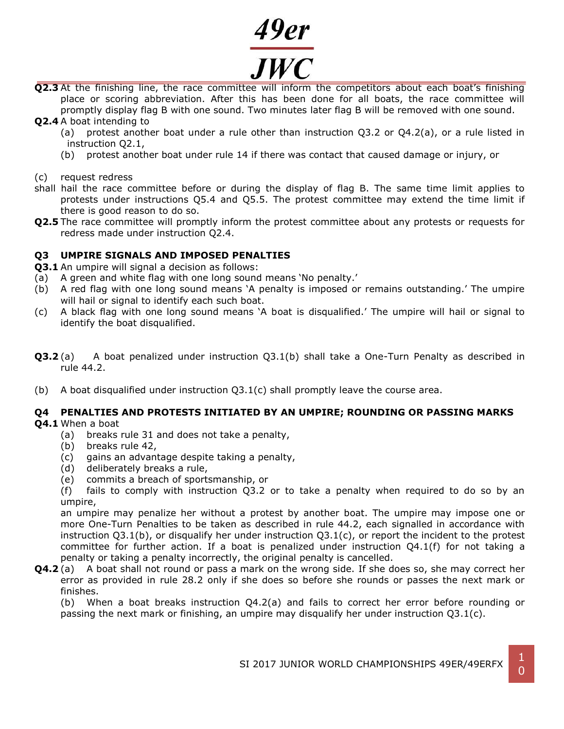

- **Q2.3** At the finishing line, the race committee will inform the competitors about each boat's finishing place or scoring abbreviation. After this has been done for all boats, the race committee will promptly display flag B with one sound. Two minutes later flag B will be removed with one sound. **Q2.4** A boat intending to
	- (a) protest another boat under a rule other than instruction Q3.2 or Q4.2(a), or a rule listed in instruction Q2.1,
		- (b) protest another boat under rule 14 if there was contact that caused damage or injury, or

(c) request redress

- shall hail the race committee before or during the display of flag B. The same time limit applies to protests under instructions Q5.4 and Q5.5. The protest committee may extend the time limit if there is good reason to do so.
- **Q2.5** The race committee will promptly inform the protest committee about any protests or requests for redress made under instruction Q2.4.

# **Q3 UMPIRE SIGNALS AND IMPOSED PENALTIES**

- **Q3.1** An umpire will signal a decision as follows:
- (a) A green and white flag with one long sound means 'No penalty.'
- (b) A red flag with one long sound means 'A penalty is imposed or remains outstanding.' The umpire will hail or signal to identify each such boat.
- (c) A black flag with one long sound means 'A boat is disqualified.' The umpire will hail or signal to identify the boat disqualified.
- **Q3.2** (a) A boat penalized under instruction Q3.1(b) shall take a One-Turn Penalty as described in rule 44.2.
- (b) A boat disqualified under instruction  $Q3.1(c)$  shall promptly leave the course area.

#### **Q4 PENALTIES AND PROTESTS INITIATED BY AN UMPIRE; ROUNDING OR PASSING MARKS Q4.1** When a boat

- - (a) breaks rule 31 and does not take a penalty,
	- (b) breaks rule 42,
	- (c) gains an advantage despite taking a penalty,
	- (d) deliberately breaks a rule,
	- (e) commits a breach of sportsmanship, or

(f) fails to comply with instruction Q3.2 or to take a penalty when required to do so by an umpire,

an umpire may penalize her without a protest by another boat. The umpire may impose one or more One-Turn Penalties to be taken as described in rule 44.2, each signalled in accordance with instruction  $Q3.1(b)$ , or disqualify her under instruction  $Q3.1(c)$ , or report the incident to the protest committee for further action. If a boat is penalized under instruction Q4.1(f) for not taking a penalty or taking a penalty incorrectly, the original penalty is cancelled.

**Q4.2** (a) A boat shall not round or pass a mark on the wrong side. If she does so, she may correct her error as provided in rule 28.2 only if she does so before she rounds or passes the next mark or finishes.

(b) When a boat breaks instruction Q4.2(a) and fails to correct her error before rounding or passing the next mark or finishing, an umpire may disqualify her under instruction Q3.1(c).